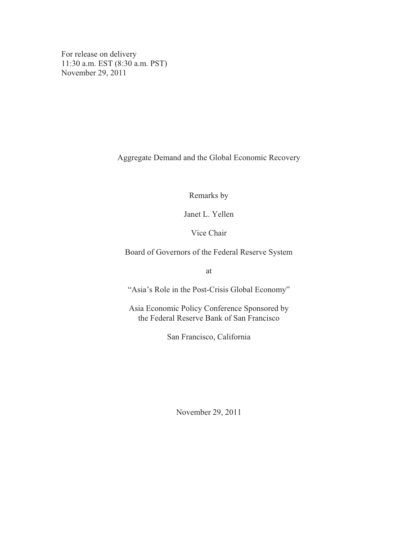For release on delivery 11:30 a.m. EST (8:30 a.m. PST) November 29, 2011

Aggregate Demand and the Global Economic Recovery

Remarks by

Janet L. Yellen

Vice Chair

Board of Governors of the Federal Reserve System

at

"Asia's Role in the Post-Crisis Global Economy"

Asia Economic Policy Conference Sponsored by the Federal Reserve Bank of San Francisco

San Francisco, California

November 29, 2011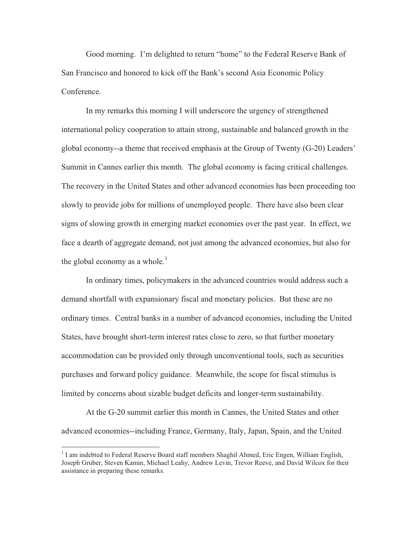Good morning. I'm delighted to return "home" to the Federal Reserve Bank of San Francisco and honored to kick off the Bank's second Asia Economic Policy **Conference** 

In my remarks this morning I will underscore the urgency of strengthened international policy cooperation to attain strong, sustainable and balanced growth in the global economy--a theme that received emphasis at the Group of Twenty (G-20) Leaders' Summit in Cannes earlier this month. The global economy is facing critical challenges. The recovery in the United States and other advanced economies has been proceeding too slowly to provide jobs for millions of unemployed people. There have also been clear signs of slowing growth in emerging market economies over the past year. In effect, we face a dearth of aggregate demand, not just among the advanced economies, but also for the global economy as a whole. $<sup>1</sup>$ </sup>

In ordinary times, policymakers in the advanced countries would address such a demand shortfall with expansionary fiscal and monetary policies. But these are no ordinary times. Central banks in a number of advanced economies, including the United States, have brought short-term interest rates close to zero, so that further monetary accommodation can be provided only through unconventional tools, such as securities purchases and forward policy guidance. Meanwhile, the scope for fiscal stimulus is limited by concerns about sizable budget deficits and longer-term sustainability.

At the G-20 summit earlier this month in Cannes, the United States and other advanced economies--including France, Germany, Italy, Japan, Spain, and the United

 $\overline{a}$ 

<sup>&</sup>lt;sup>1</sup> I am indebted to Federal Reserve Board staff members Shaghil Ahmed, Eric Engen, William English, Joseph Gruber, Steven Kamin, Michael Leahy, Andrew Levin, Trevor Reeve, and David Wilcox for their assistance in preparing these remarks.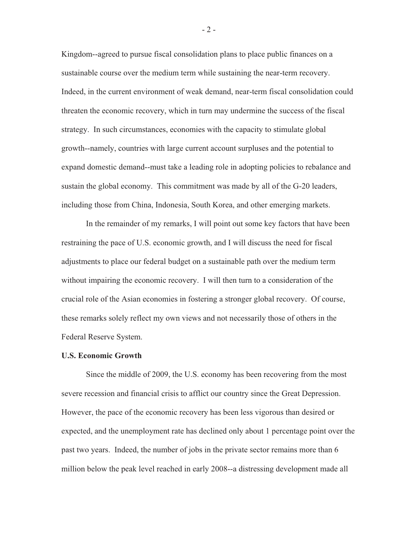Kingdom--agreed to pursue fiscal consolidation plans to place public finances on a sustainable course over the medium term while sustaining the near-term recovery. Indeed, in the current environment of weak demand, near-term fiscal consolidation could threaten the economic recovery, which in turn may undermine the success of the fiscal strategy. In such circumstances, economies with the capacity to stimulate global growth--namely, countries with large current account surpluses and the potential to expand domestic demand--must take a leading role in adopting policies to rebalance and sustain the global economy. This commitment was made by all of the G-20 leaders, including those from China, Indonesia, South Korea, and other emerging markets.

In the remainder of my remarks, I will point out some key factors that have been restraining the pace of U.S. economic growth, and I will discuss the need for fiscal adjustments to place our federal budget on a sustainable path over the medium term without impairing the economic recovery. I will then turn to a consideration of the crucial role of the Asian economies in fostering a stronger global recovery. Of course, these remarks solely reflect my own views and not necessarily those of others in the Federal Reserve System.

# **U.S. Economic Growth**

Since the middle of 2009, the U.S. economy has been recovering from the most severe recession and financial crisis to afflict our country since the Great Depression. However, the pace of the economic recovery has been less vigorous than desired or expected, and the unemployment rate has declined only about 1 percentage point over the past two years. Indeed, the number of jobs in the private sector remains more than 6 million below the peak level reached in early 2008--a distressing development made all

 $-2-$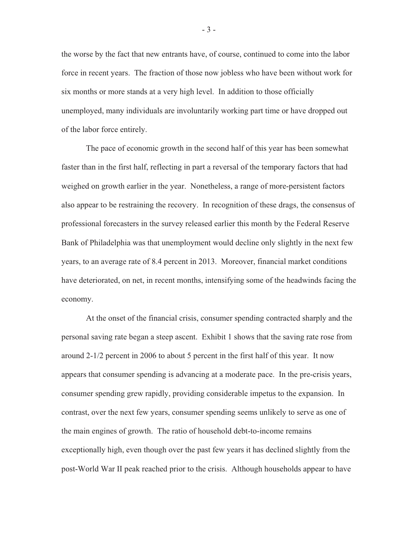the worse by the fact that new entrants have, of course, continued to come into the labor force in recent years. The fraction of those now jobless who have been without work for six months or more stands at a very high level. In addition to those officially unemployed, many individuals are involuntarily working part time or have dropped out of the labor force entirely.

The pace of economic growth in the second half of this year has been somewhat faster than in the first half, reflecting in part a reversal of the temporary factors that had weighed on growth earlier in the year. Nonetheless, a range of more-persistent factors also appear to be restraining the recovery. In recognition of these drags, the consensus of professional forecasters in the survey released earlier this month by the Federal Reserve Bank of Philadelphia was that unemployment would decline only slightly in the next few years, to an average rate of 8.4 percent in 2013. Moreover, financial market conditions have deteriorated, on net, in recent months, intensifying some of the headwinds facing the economy.

At the onset of the financial crisis, consumer spending contracted sharply and the personal saving rate began a steep ascent. Exhibit 1 shows that the saving rate rose from around 2-1/2 percent in 2006 to about 5 percent in the first half of this year. It now appears that consumer spending is advancing at a moderate pace. In the pre-crisis years, consumer spending grew rapidly, providing considerable impetus to the expansion. In contrast, over the next few years, consumer spending seems unlikely to serve as one of the main engines of growth. The ratio of household debt-to-income remains exceptionally high, even though over the past few years it has declined slightly from the post-World War II peak reached prior to the crisis. Although households appear to have

- 3 -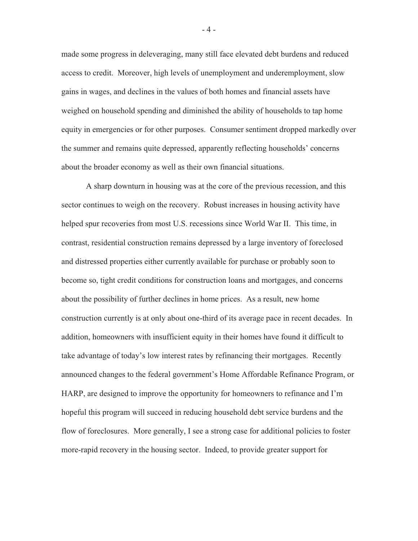made some progress in deleveraging, many still face elevated debt burdens and reduced access to credit. Moreover, high levels of unemployment and underemployment, slow gains in wages, and declines in the values of both homes and financial assets have weighed on household spending and diminished the ability of households to tap home equity in emergencies or for other purposes. Consumer sentiment dropped markedly over the summer and remains quite depressed, apparently reflecting households' concerns about the broader economy as well as their own financial situations.

A sharp downturn in housing was at the core of the previous recession, and this sector continues to weigh on the recovery. Robust increases in housing activity have helped spur recoveries from most U.S. recessions since World War II. This time, in contrast, residential construction remains depressed by a large inventory of foreclosed and distressed properties either currently available for purchase or probably soon to become so, tight credit conditions for construction loans and mortgages, and concerns about the possibility of further declines in home prices. As a result, new home construction currently is at only about one-third of its average pace in recent decades. In addition, homeowners with insufficient equity in their homes have found it difficult to take advantage of today's low interest rates by refinancing their mortgages. Recently announced changes to the federal government's Home Affordable Refinance Program, or HARP, are designed to improve the opportunity for homeowners to refinance and I'm hopeful this program will succeed in reducing household debt service burdens and the flow of foreclosures. More generally, I see a strong case for additional policies to foster more-rapid recovery in the housing sector. Indeed, to provide greater support for

- 4 -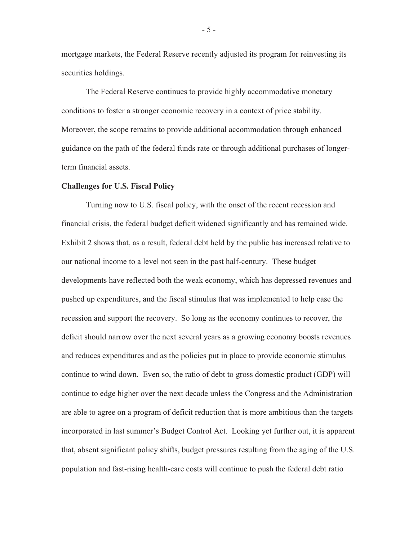mortgage markets, the Federal Reserve recently adjusted its program for reinvesting its securities holdings.

The Federal Reserve continues to provide highly accommodative monetary conditions to foster a stronger economic recovery in a context of price stability. Moreover, the scope remains to provide additional accommodation through enhanced guidance on the path of the federal funds rate or through additional purchases of longerterm financial assets.

## **Challenges for U.S. Fiscal Policy**

Turning now to U.S. fiscal policy, with the onset of the recent recession and financial crisis, the federal budget deficit widened significantly and has remained wide. Exhibit 2 shows that, as a result, federal debt held by the public has increased relative to our national income to a level not seen in the past half-century. These budget developments have reflected both the weak economy, which has depressed revenues and pushed up expenditures, and the fiscal stimulus that was implemented to help ease the recession and support the recovery. So long as the economy continues to recover, the deficit should narrow over the next several years as a growing economy boosts revenues and reduces expenditures and as the policies put in place to provide economic stimulus continue to wind down. Even so, the ratio of debt to gross domestic product (GDP) will continue to edge higher over the next decade unless the Congress and the Administration are able to agree on a program of deficit reduction that is more ambitious than the targets incorporated in last summer's Budget Control Act. Looking yet further out, it is apparent that, absent significant policy shifts, budget pressures resulting from the aging of the U.S. population and fast-rising health-care costs will continue to push the federal debt ratio

- 5 -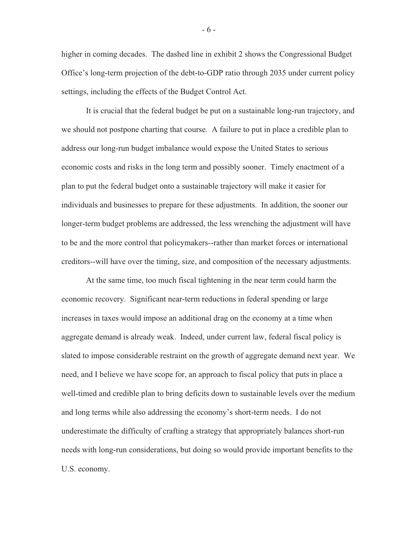higher in coming decades. The dashed line in exhibit 2 shows the Congressional Budget Office's long-term projection of the debt-to-GDP ratio through 2035 under current policy settings, including the effects of the Budget Control Act.

It is crucial that the federal budget be put on a sustainable long-run trajectory, and we should not postpone charting that course. A failure to put in place a credible plan to address our long-run budget imbalance would expose the United States to serious economic costs and risks in the long term and possibly sooner. Timely enactment of a plan to put the federal budget onto a sustainable trajectory will make it easier for individuals and businesses to prepare for these adjustments. In addition, the sooner our longer-term budget problems are addressed, the less wrenching the adjustment will have to be and the more control that policymakers--rather than market forces or international creditors--will have over the timing, size, and composition of the necessary adjustments.

At the same time, too much fiscal tightening in the near term could harm the economic recovery. Significant near-term reductions in federal spending or large increases in taxes would impose an additional drag on the economy at a time when aggregate demand is already weak. Indeed, under current law, federal fiscal policy is slated to impose considerable restraint on the growth of aggregate demand next year. We need, and I believe we have scope for, an approach to fiscal policy that puts in place a well-timed and credible plan to bring deficits down to sustainable levels over the medium and long terms while also addressing the economy's short-term needs. I do not underestimate the difficulty of crafting a strategy that appropriately balances short-run needs with long-run considerations, but doing so would provide important benefits to the U.S. economy.

- 6 -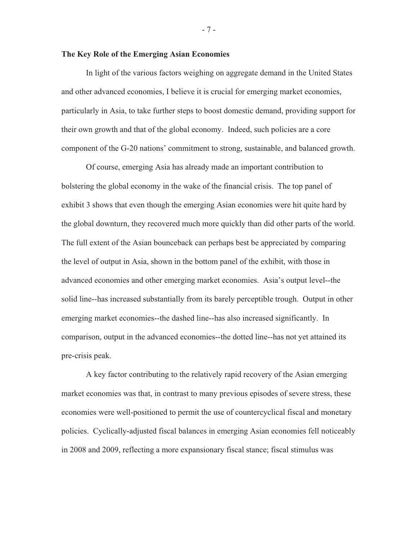## **The Key Role of the Emerging Asian Economies**

In light of the various factors weighing on aggregate demand in the United States and other advanced economies, I believe it is crucial for emerging market economies, particularly in Asia, to take further steps to boost domestic demand, providing support for their own growth and that of the global economy. Indeed, such policies are a core component of the G-20 nations' commitment to strong, sustainable, and balanced growth.

Of course, emerging Asia has already made an important contribution to bolstering the global economy in the wake of the financial crisis. The top panel of exhibit 3 shows that even though the emerging Asian economies were hit quite hard by the global downturn, they recovered much more quickly than did other parts of the world. The full extent of the Asian bounceback can perhaps best be appreciated by comparing the level of output in Asia, shown in the bottom panel of the exhibit, with those in advanced economies and other emerging market economies. Asia's output level--the solid line--has increased substantially from its barely perceptible trough. Output in other emerging market economies--the dashed line--has also increased significantly. In comparison, output in the advanced economies--the dotted line--has not yet attained its pre-crisis peak.

A key factor contributing to the relatively rapid recovery of the Asian emerging market economies was that, in contrast to many previous episodes of severe stress, these economies were well-positioned to permit the use of countercyclical fiscal and monetary policies. Cyclically-adjusted fiscal balances in emerging Asian economies fell noticeably in 2008 and 2009, reflecting a more expansionary fiscal stance; fiscal stimulus was

- 7 -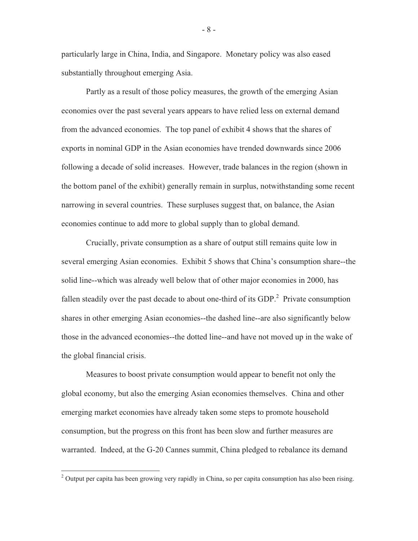particularly large in China, India, and Singapore. Monetary policy was also eased substantially throughout emerging Asia.

Partly as a result of those policy measures, the growth of the emerging Asian economies over the past several years appears to have relied less on external demand from the advanced economies. The top panel of exhibit 4 shows that the shares of exports in nominal GDP in the Asian economies have trended downwards since 2006 following a decade of solid increases. However, trade balances in the region (shown in the bottom panel of the exhibit) generally remain in surplus, notwithstanding some recent narrowing in several countries. These surpluses suggest that, on balance, the Asian economies continue to add more to global supply than to global demand.

Crucially, private consumption as a share of output still remains quite low in several emerging Asian economies. Exhibit 5 shows that China's consumption share--the solid line--which was already well below that of other major economies in 2000, has fallen steadily over the past decade to about one-third of its GDP. $^{2}$  Private consumption shares in other emerging Asian economies--the dashed line--are also significantly below those in the advanced economies--the dotted line--and have not moved up in the wake of the global financial crisis.

Measures to boost private consumption would appear to benefit not only the global economy, but also the emerging Asian economies themselves. China and other emerging market economies have already taken some steps to promote household consumption, but the progress on this front has been slow and further measures are warranted. Indeed, at the G-20 Cannes summit, China pledged to rebalance its demand

- 8 -

<sup>&</sup>lt;sup>2</sup> Output per capita has been growing very rapidly in China, so per capita consumption has also been rising.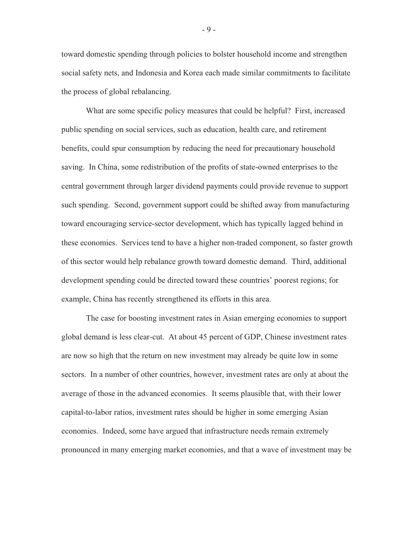toward domestic spending through policies to bolster household income and strengthen social safety nets, and Indonesia and Korea each made similar commitments to facilitate the process of global rebalancing.

What are some specific policy measures that could be helpful? First, increased public spending on social services, such as education, health care, and retirement benefits, could spur consumption by reducing the need for precautionary household saving. In China, some redistribution of the profits of state-owned enterprises to the central government through larger dividend payments could provide revenue to support such spending. Second, government support could be shifted away from manufacturing toward encouraging service-sector development, which has typically lagged behind in these economies. Services tend to have a higher non-traded component, so faster growth of this sector would help rebalance growth toward domestic demand. Third, additional development spending could be directed toward these countries' poorest regions; for example, China has recently strengthened its efforts in this area.

The case for boosting investment rates in Asian emerging economies to support global demand is less clear-cut. At about 45 percent of GDP, Chinese investment rates are now so high that the return on new investment may already be quite low in some sectors. In a number of other countries, however, investment rates are only at about the average of those in the advanced economies. It seems plausible that, with their lower capital-to-labor ratios, investment rates should be higher in some emerging Asian economies. Indeed, some have argued that infrastructure needs remain extremely pronounced in many emerging market economies, and that a wave of investment may be

- 9 -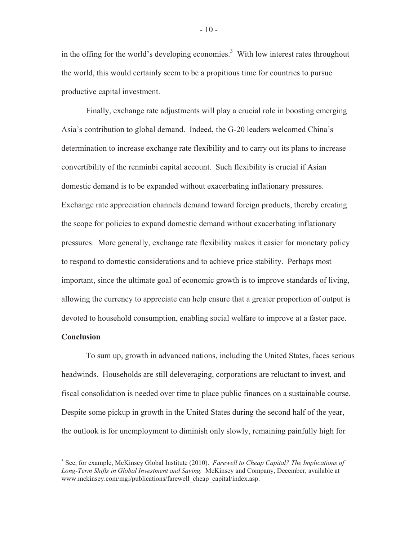in the offing for the world's developing economies.<sup>3</sup> With low interest rates throughout the world, this would certainly seem to be a propitious time for countries to pursue productive capital investment.

Finally, exchange rate adjustments will play a crucial role in boosting emerging Asia's contribution to global demand. Indeed, the G-20 leaders welcomed China's determination to increase exchange rate flexibility and to carry out its plans to increase convertibility of the renminbi capital account. Such flexibility is crucial if Asian domestic demand is to be expanded without exacerbating inflationary pressures. Exchange rate appreciation channels demand toward foreign products, thereby creating the scope for policies to expand domestic demand without exacerbating inflationary pressures. More generally, exchange rate flexibility makes it easier for monetary policy to respond to domestic considerations and to achieve price stability. Perhaps most important, since the ultimate goal of economic growth is to improve standards of living, allowing the currency to appreciate can help ensure that a greater proportion of output is devoted to household consumption, enabling social welfare to improve at a faster pace.

## **Conclusion**

 To sum up, growth in advanced nations, including the United States, faces serious headwinds. Households are still deleveraging, corporations are reluctant to invest, and fiscal consolidation is needed over time to place public finances on a sustainable course. Despite some pickup in growth in the United States during the second half of the year, the outlook is for unemployment to diminish only slowly, remaining painfully high for

- 10 -

 3 See, for example, McKinsey Global Institute (2010). *Farewell to Cheap Capital? The Implications of Long-Term Shifts in Global Investment and Saving.* McKinsey and Company, December, available at www.mckinsey.com/mgi/publications/farewell\_cheap\_capital/index.asp.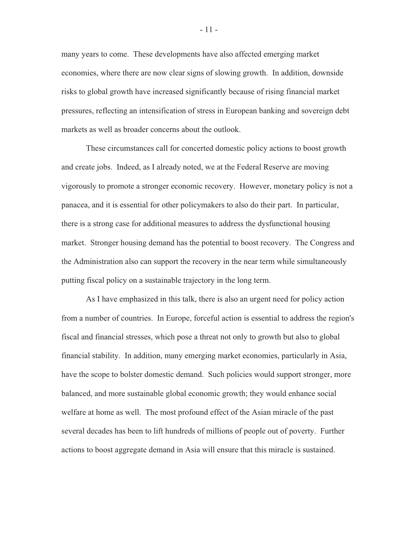many years to come. These developments have also affected emerging market economies, where there are now clear signs of slowing growth. In addition, downside risks to global growth have increased significantly because of rising financial market pressures, reflecting an intensification of stress in European banking and sovereign debt markets as well as broader concerns about the outlook.

These circumstances call for concerted domestic policy actions to boost growth and create jobs. Indeed, as I already noted, we at the Federal Reserve are moving vigorously to promote a stronger economic recovery. However, monetary policy is not a panacea, and it is essential for other policymakers to also do their part. In particular, there is a strong case for additional measures to address the dysfunctional housing market. Stronger housing demand has the potential to boost recovery. The Congress and the Administration also can support the recovery in the near term while simultaneously putting fiscal policy on a sustainable trajectory in the long term.

As I have emphasized in this talk, there is also an urgent need for policy action from a number of countries. In Europe, forceful action is essential to address the region's fiscal and financial stresses, which pose a threat not only to growth but also to global financial stability. In addition, many emerging market economies, particularly in Asia, have the scope to bolster domestic demand. Such policies would support stronger, more balanced, and more sustainable global economic growth; they would enhance social welfare at home as well. The most profound effect of the Asian miracle of the past several decades has been to lift hundreds of millions of people out of poverty. Further actions to boost aggregate demand in Asia will ensure that this miracle is sustained.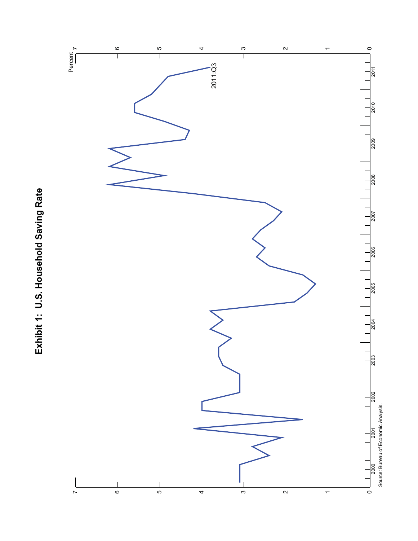

Exhibit 1: U.S. Household Saving Rate **Exhibit 1: U.S. Household Saving Rate**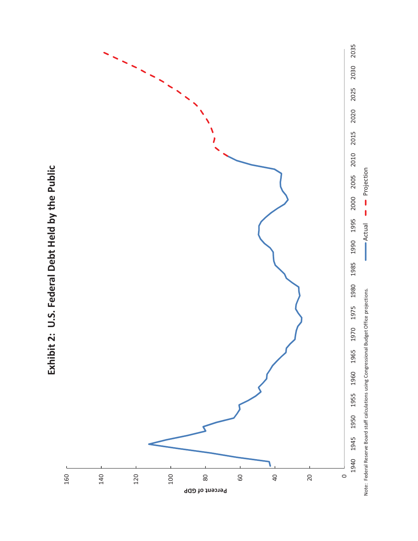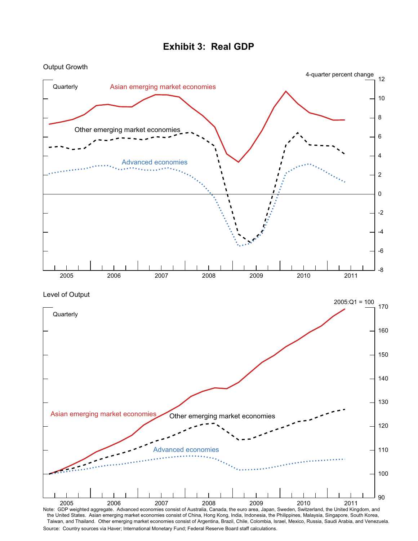

#### **Exhibit 3: Real GDP**

the United States. Asian emerging market economies consist of China, Hong Kong, India, Indonesia, the Philippines, Malaysia, Singapore, South Korea, Taiwan, and Thailand. Other emerging market economies consist of Argentina, Brazil, Chile, Colombia, Israel, Mexico, Russia, Saudi Arabia, and Venezuela. Source: Country sources via Haver; International Monetary Fund; Federal Reserve Board staff calculations.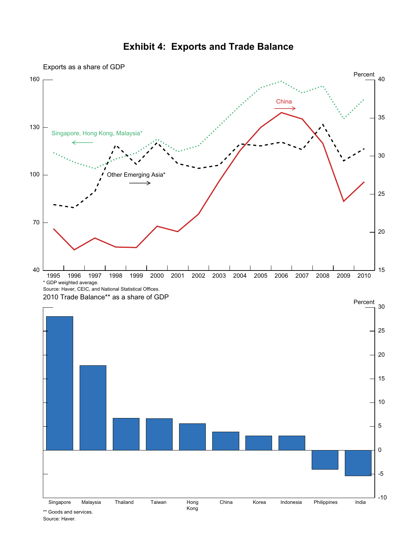

#### **Exhibit 4: Exports and Trade Balance**

Source: Haver.